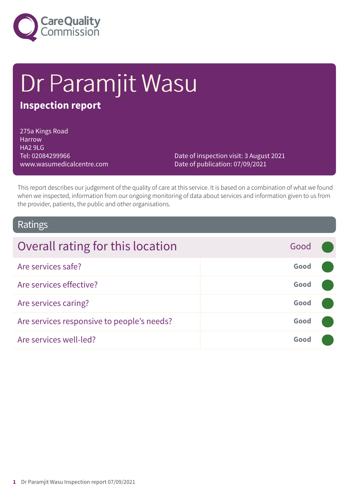

# Dr Paramjit Wasu

# **Inspection report**

275a Kings Road Harrow HA2 9LG Tel: 02084299966 www.wasumedicalcentre.com

Date of inspection visit: 3 August 2021 Date of publication: 07/09/2021

This report describes our judgement of the quality of care at this service. It is based on a combination of what we found when we inspected, information from our ongoing monitoring of data about services and information given to us from the provider, patients, the public and other organisations.

### Ratings

| Overall rating for this location           | Good |  |
|--------------------------------------------|------|--|
| Are services safe?                         | Good |  |
| Are services effective?                    | Good |  |
| Are services caring?                       | Good |  |
| Are services responsive to people's needs? | Good |  |
| Are services well-led?                     | Good |  |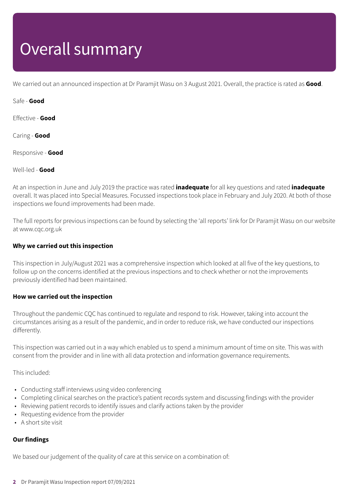# Overall summary

We carried out an announced inspection at Dr Paramjit Wasu on 3 August 2021. Overall, the practice is rated as **Good**.

Safe - **Good**

Effective - **Good**

Caring - **Good**

Responsive - **Good**

Well-led - **Good**

At an inspection in June and July 2019 the practice was rated **inadequate** for all key questions and rated **inadequate** overall. It was placed into Special Measures. Focussed inspections took place in February and July 2020. At both of those inspections we found improvements had been made.

The full reports for previous inspections can be found by selecting the 'all reports' link for Dr Paramjit Wasu on our website at www.cqc.org.uk

### **Why we carried out this inspection**

This inspection in July/August 2021 was a comprehensive inspection which looked at all five of the key questions, to follow up on the concerns identified at the previous inspections and to check whether or not the improvements previously identified had been maintained.

#### **How we carried out the inspection**

Throughout the pandemic CQC has continued to regulate and respond to risk. However, taking into account the circumstances arising as a result of the pandemic, and in order to reduce risk, we have conducted our inspections differently.

This inspection was carried out in a way which enabled us to spend a minimum amount of time on site. This was with consent from the provider and in line with all data protection and information governance requirements.

This included:

- Conducting staff interviews using video conferencing
- Completing clinical searches on the practice's patient records system and discussing findings with the provider
- Reviewing patient records to identify issues and clarify actions taken by the provider
- Requesting evidence from the provider
- A short site visit

### **Our findings**

We based our judgement of the quality of care at this service on a combination of: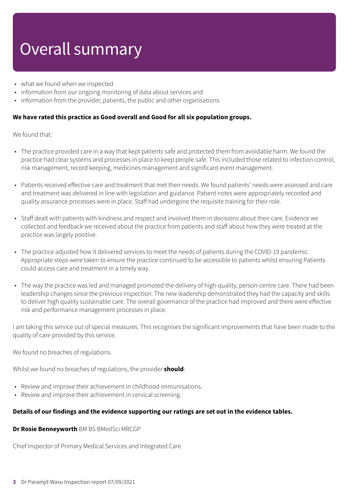# Overall summary

- what we found when we inspected
- information from our ongoing monitoring of data about services and
- information from the provider, patients, the public and other organisations.

### **We have rated this practice as Good overall and Good for all six population groups.**

We found that:

- The practice provided care in a way that kept patients safe and protected them from avoidable harm. We found the practice had clear systems and processes in place to keep people safe. This included those related to infection control, risk management, record keeping, medicines management and significant event management.
- Patients received effective care and treatment that met their needs. We found patients' needs were assessed and care and treatment was delivered in line with legislation and guidance. Patient notes were appropriately recorded and quality assurance processes were in place. Staff had undergone the requisite training for their role.
- Staff dealt with patients with kindness and respect and involved them in decisions about their care. Evidence we collected and feedback we received about the practice from patients and staff about how they were treated at the practice was largely positive.
- The practice adjusted how it delivered services to meet the needs of patients during the COVID-19 pandemic. Appropriate steps were taken to ensure the practice continued to be accessible to patients whilst ensuring Patients could access care and treatment in a timely way.
- The way the practice was led and managed promoted the delivery of high-quality, person-centre care. There had been leadership changes since the previous inspection. The new leadership demonstrated they had the capacity and skills to deliver high quality sustainable care. The overall governance of the practice had improved and there were effective risk and performance management processes in place.

I am taking this service out of special measures. This recognises the significant improvements that have been made to the quality of care provided by this service.

We found no breaches of regulations.

Whilst we found no breaches of regulations, the provider **should**:

- Review and improve their achievement in childhood immunisations.
- Review and improve their achievement in cervical screening.

#### **Details of our findings and the evidence supporting our ratings are set out in the evidence tables.**

**Dr Rosie Benneyworth** BM BS BMedSci MRCGP

Chief Inspector of Primary Medical Services and Integrated Care